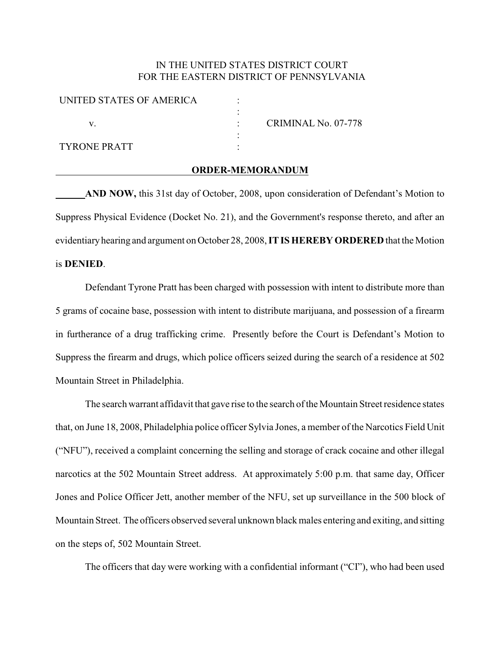## IN THE UNITED STATES DISTRICT COURT FOR THE EASTERN DISTRICT OF PENNSYLVANIA

| UNITED STATES OF AMERICA |                     |
|--------------------------|---------------------|
|                          |                     |
|                          | CRIMINAL No. 07-778 |
|                          |                     |
| <b>TYRONE PRATT</b>      |                     |
|                          |                     |

## **ORDER-MEMORANDUM**

**AND NOW,** this 31st day of October, 2008, upon consideration of Defendant's Motion to Suppress Physical Evidence (Docket No. 21), and the Government's response thereto, and after an evidentiaryhearing and argument on October 28, 2008, **IT IS HEREBY ORDERED** that the Motion is **DENIED**.

Defendant Tyrone Pratt has been charged with possession with intent to distribute more than 5 grams of cocaine base, possession with intent to distribute marijuana, and possession of a firearm in furtherance of a drug trafficking crime. Presently before the Court is Defendant's Motion to Suppress the firearm and drugs, which police officers seized during the search of a residence at 502 Mountain Street in Philadelphia.

The search warrant affidavit that gave rise to the search of the Mountain Street residence states that, on June 18, 2008, Philadelphia police officer Sylvia Jones, a member of the Narcotics Field Unit ("NFU"), received a complaint concerning the selling and storage of crack cocaine and other illegal narcotics at the 502 Mountain Street address. At approximately 5:00 p.m. that same day, Officer Jones and Police Officer Jett, another member of the NFU, set up surveillance in the 500 block of Mountain Street. The officers observed several unknown black males entering and exiting, and sitting on the steps of, 502 Mountain Street.

The officers that day were working with a confidential informant ("CI"), who had been used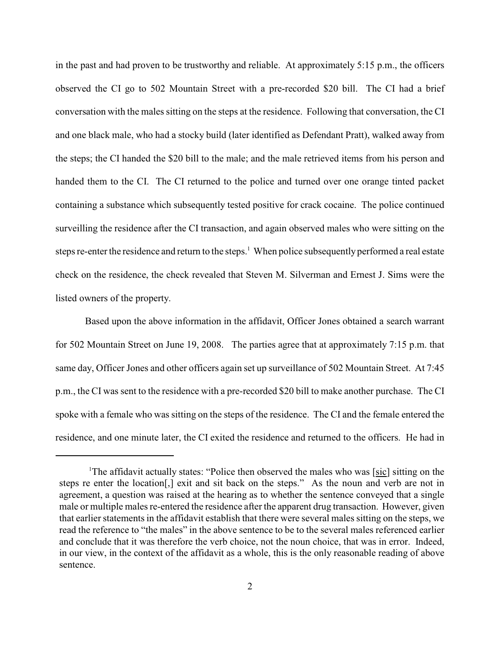in the past and had proven to be trustworthy and reliable. At approximately 5:15 p.m., the officers observed the CI go to 502 Mountain Street with a pre-recorded \$20 bill. The CI had a brief conversation with the males sitting on the steps at the residence. Following that conversation, the CI and one black male, who had a stocky build (later identified as Defendant Pratt), walked away from the steps; the CI handed the \$20 bill to the male; and the male retrieved items from his person and handed them to the CI. The CI returned to the police and turned over one orange tinted packet containing a substance which subsequently tested positive for crack cocaine. The police continued surveilling the residence after the CI transaction, and again observed males who were sitting on the steps re-enter the residence and return to the steps.<sup>1</sup> When police subsequently performed a real estate check on the residence, the check revealed that Steven M. Silverman and Ernest J. Sims were the listed owners of the property.

Based upon the above information in the affidavit, Officer Jones obtained a search warrant for 502 Mountain Street on June 19, 2008. The parties agree that at approximately 7:15 p.m. that same day, Officer Jones and other officers again set up surveillance of 502 Mountain Street. At 7:45 p.m., the CI was sent to the residence with a pre-recorded \$20 bill to make another purchase. The CI spoke with a female who was sitting on the steps of the residence. The CI and the female entered the residence, and one minute later, the CI exited the residence and returned to the officers. He had in

<sup>&</sup>lt;sup>1</sup>The affidavit actually states: "Police then observed the males who was [sic] sitting on the steps re enter the location[,] exit and sit back on the steps." As the noun and verb are not in agreement, a question was raised at the hearing as to whether the sentence conveyed that a single male or multiple males re-entered the residence after the apparent drug transaction. However, given that earlier statements in the affidavit establish that there were several males sitting on the steps, we read the reference to "the males" in the above sentence to be to the several males referenced earlier and conclude that it was therefore the verb choice, not the noun choice, that was in error. Indeed, in our view, in the context of the affidavit as a whole, this is the only reasonable reading of above sentence.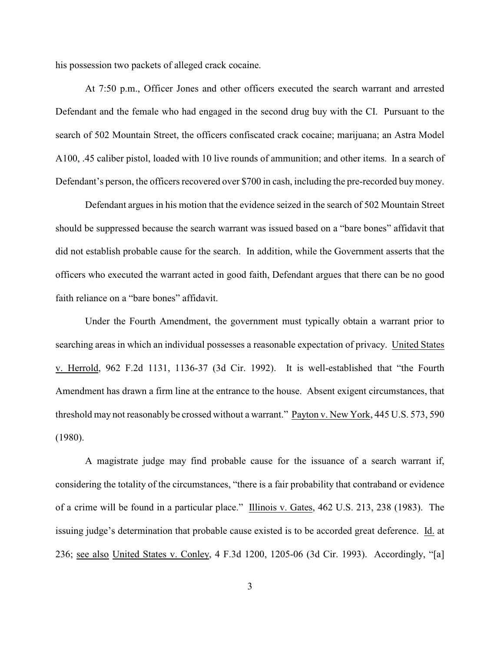his possession two packets of alleged crack cocaine.

At 7:50 p.m., Officer Jones and other officers executed the search warrant and arrested Defendant and the female who had engaged in the second drug buy with the CI. Pursuant to the search of 502 Mountain Street, the officers confiscated crack cocaine; marijuana; an Astra Model A100, .45 caliber pistol, loaded with 10 live rounds of ammunition; and other items. In a search of Defendant's person, the officers recovered over \$700 in cash, including the pre-recorded buy money.

Defendant argues in his motion that the evidence seized in the search of 502 Mountain Street should be suppressed because the search warrant was issued based on a "bare bones" affidavit that did not establish probable cause for the search. In addition, while the Government asserts that the officers who executed the warrant acted in good faith, Defendant argues that there can be no good faith reliance on a "bare bones" affidavit.

Under the Fourth Amendment, the government must typically obtain a warrant prior to searching areas in which an individual possesses a reasonable expectation of privacy. United States v. Herrold, 962 F.2d 1131, 1136-37 (3d Cir. 1992). It is well-established that "the Fourth Amendment has drawn a firm line at the entrance to the house. Absent exigent circumstances, that threshold may not reasonably be crossed without a warrant." Payton v. New York, 445 U.S. 573, 590 (1980).

A magistrate judge may find probable cause for the issuance of a search warrant if, considering the totality of the circumstances, "there is a fair probability that contraband or evidence of a crime will be found in a particular place." Illinois v. Gates, 462 U.S. 213, 238 (1983). The issuing judge's determination that probable cause existed is to be accorded great deference. Id. at 236; see also United States v. Conley, 4 F.3d 1200, 1205-06 (3d Cir. 1993). Accordingly, "[a]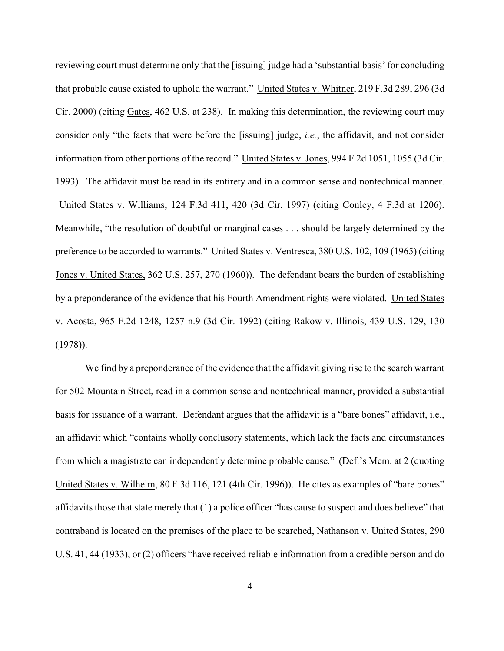reviewing court must determine only that the [issuing] judge had a 'substantial basis' for concluding that probable cause existed to uphold the warrant." United States v. Whitner, 219 F.3d 289, 296 (3d Cir. 2000) (citing Gates, 462 U.S. at 238). In making this determination, the reviewing court may consider only "the facts that were before the [issuing] judge, *i.e.*, the affidavit, and not consider information from other portions of the record." United States v. Jones, 994 F.2d 1051, 1055 (3d Cir. 1993). The affidavit must be read in its entirety and in a common sense and nontechnical manner. United States v. Williams, 124 F.3d 411, 420 (3d Cir. 1997) (citing Conley, 4 F.3d at 1206). Meanwhile, "the resolution of doubtful or marginal cases . . . should be largely determined by the preference to be accorded to warrants." United States v. Ventresca, 380 U.S. 102, 109 (1965) (citing Jones v. United States, 362 U.S. 257, 270 (1960)). The defendant bears the burden of establishing by a preponderance of the evidence that his Fourth Amendment rights were violated. United States v. Acosta, 965 F.2d 1248, 1257 n.9 (3d Cir. 1992) (citing Rakow v. Illinois, 439 U.S. 129, 130 (1978)).

We find by a preponderance of the evidence that the affidavit giving rise to the search warrant for 502 Mountain Street, read in a common sense and nontechnical manner, provided a substantial basis for issuance of a warrant. Defendant argues that the affidavit is a "bare bones" affidavit, i.e., an affidavit which "contains wholly conclusory statements, which lack the facts and circumstances from which a magistrate can independently determine probable cause." (Def.'s Mem. at 2 (quoting United States v. Wilhelm, 80 F.3d 116, 121 (4th Cir. 1996)). He cites as examples of "bare bones" affidavits those that state merely that (1) a police officer "has cause to suspect and does believe" that contraband is located on the premises of the place to be searched, Nathanson v. United States, 290 U.S. 41, 44 (1933), or (2) officers "have received reliable information from a credible person and do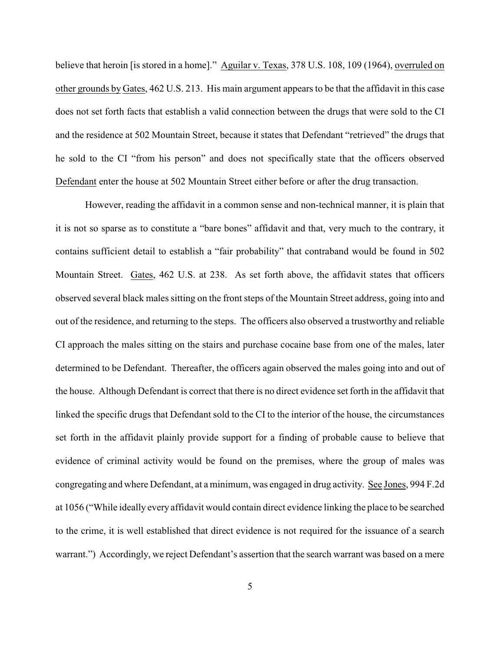believe that heroin [is stored in a home]." Aguilar v. Texas, 378 U.S. 108, 109 (1964), overruled on other grounds by Gates, 462 U.S. 213. His main argument appears to be that the affidavit in this case does not set forth facts that establish a valid connection between the drugs that were sold to the CI and the residence at 502 Mountain Street, because it states that Defendant "retrieved" the drugs that he sold to the CI "from his person" and does not specifically state that the officers observed Defendant enter the house at 502 Mountain Street either before or after the drug transaction.

However, reading the affidavit in a common sense and non-technical manner, it is plain that it is not so sparse as to constitute a "bare bones" affidavit and that, very much to the contrary, it contains sufficient detail to establish a "fair probability" that contraband would be found in 502 Mountain Street. Gates, 462 U.S. at 238. As set forth above, the affidavit states that officers observed several black males sitting on the front steps of the Mountain Street address, going into and out of the residence, and returning to the steps. The officers also observed a trustworthy and reliable CI approach the males sitting on the stairs and purchase cocaine base from one of the males, later determined to be Defendant. Thereafter, the officers again observed the males going into and out of the house. Although Defendant is correct that there is no direct evidence set forth in the affidavit that linked the specific drugs that Defendant sold to the CI to the interior of the house, the circumstances set forth in the affidavit plainly provide support for a finding of probable cause to believe that evidence of criminal activity would be found on the premises, where the group of males was congregating and where Defendant, at a minimum, was engaged in drug activity. See Jones, 994 F.2d at 1056 ("While ideally every affidavit would contain direct evidence linking the place to be searched to the crime, it is well established that direct evidence is not required for the issuance of a search warrant.") Accordingly, we reject Defendant's assertion that the search warrant was based on a mere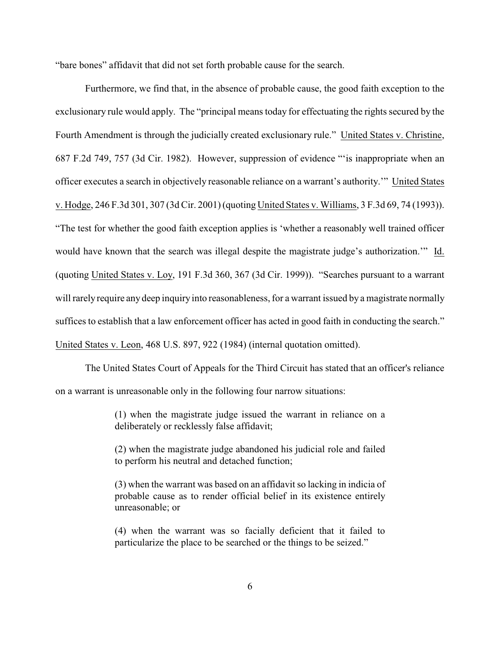"bare bones" affidavit that did not set forth probable cause for the search.

Furthermore, we find that, in the absence of probable cause, the good faith exception to the exclusionary rule would apply. The "principal means today for effectuating the rights secured by the Fourth Amendment is through the judicially created exclusionary rule." United States v. Christine, 687 F.2d 749, 757 (3d Cir. 1982). However, suppression of evidence "'is inappropriate when an officer executes a search in objectively reasonable reliance on a warrant's authority.'" United States v. Hodge, 246 F.3d 301, 307 (3d Cir. 2001) (quoting United States v. Williams, 3 F.3d 69, 74 (1993)). "The test for whether the good faith exception applies is 'whether a reasonably well trained officer would have known that the search was illegal despite the magistrate judge's authorization.'" Id. (quoting United States v. Loy, 191 F.3d 360, 367 (3d Cir. 1999)). "Searches pursuant to a warrant will rarely require anydeep inquiry into reasonableness, for a warrant issued by a magistrate normally suffices to establish that a law enforcement officer has acted in good faith in conducting the search." United States v. Leon, 468 U.S. 897, 922 (1984) (internal quotation omitted).

The United States Court of Appeals for the Third Circuit has stated that an officer's reliance on a warrant is unreasonable only in the following four narrow situations:

> (1) when the magistrate judge issued the warrant in reliance on a deliberately or recklessly false affidavit;

> (2) when the magistrate judge abandoned his judicial role and failed to perform his neutral and detached function;

> (3) when the warrant was based on an affidavit so lacking in indicia of probable cause as to render official belief in its existence entirely unreasonable; or

> (4) when the warrant was so facially deficient that it failed to particularize the place to be searched or the things to be seized."